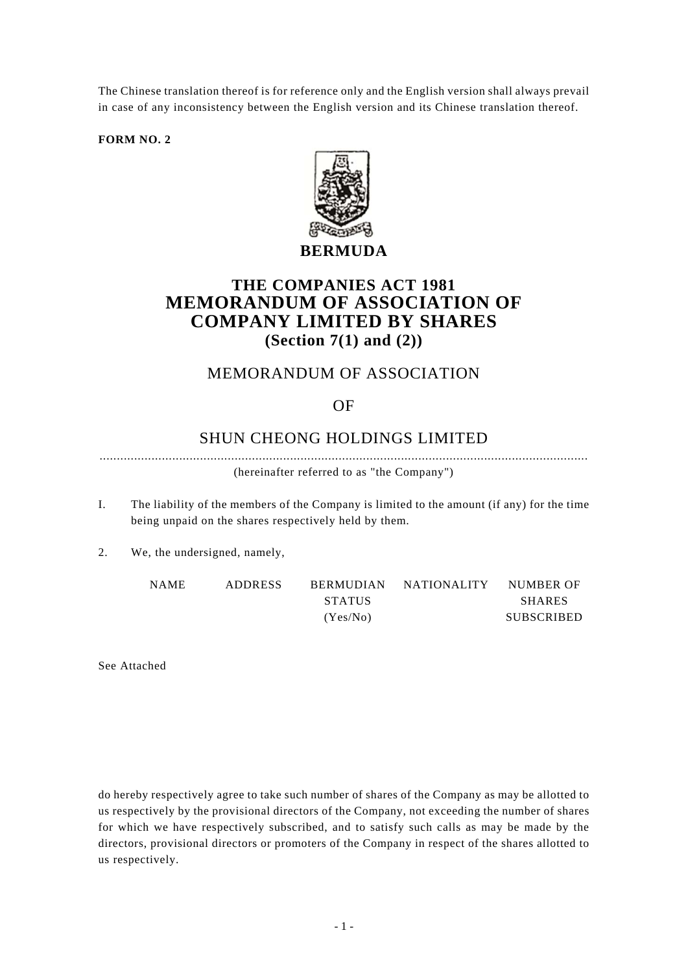The Chinese translation thereof is for reference only and the English version shall always prevail in case of any inconsistency between the English version and its Chinese translation thereof.

**FORM NO. 2** 



# **THE COMPANIES ACT 1981 MEMORANDUM OF ASSOCIATION OF COMPANY LIMITED BY SHARES (Section 7(1) and (2))**

# MEMORANDUM OF ASSOCIATION

## OF

## SHUN CHEONG HOLDINGS LIMITED

.............................................................................................................................................

(hereinafter referred to as "the Company")

- I. The liability of the members of the Company is limited to the amount (if any) for the time being unpaid on the shares respectively held by them.
- 2. We, the undersigned, namely,

NAME ADDRESS BERMUDIAN STATUS (Yes/No) NATIONALITY NUMBER OF **SHARES** SUBSCRIBED

See Attached

do hereby respectively agree to take such number of shares of the Company as may be allotted to us respectively by the provisional directors of the Company, not exceeding the number of shares for which we have respectively subscribed, and to satisfy such calls as may be made by the directors, provisional directors or promoters of the Company in respect of the shares allotted to us respectively.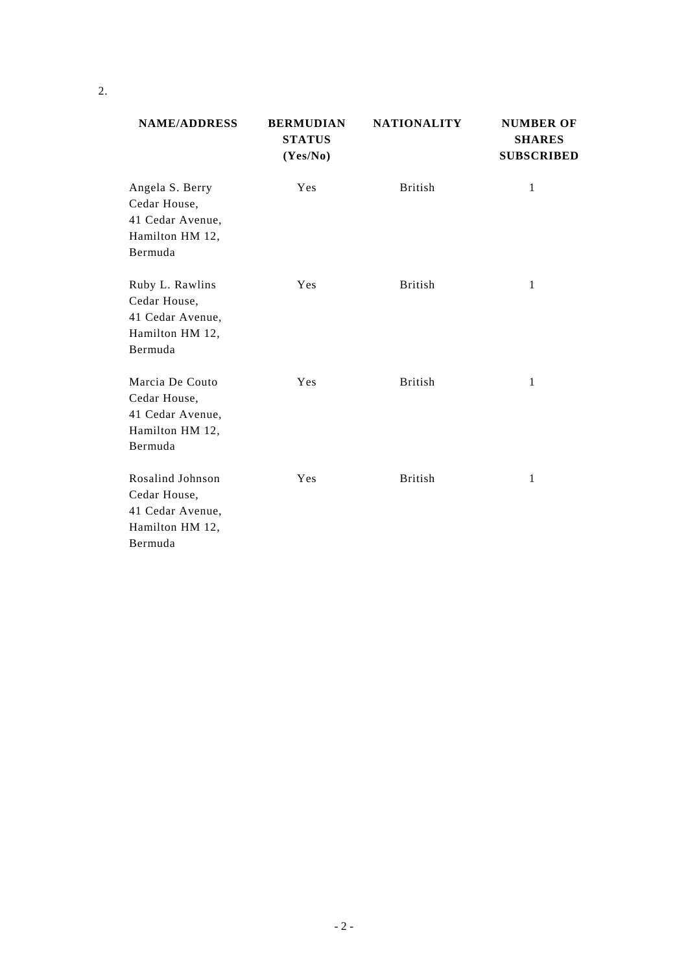| <b>NAME/ADDRESS</b>                                                                | <b>BERMUDIAN</b><br><b>STATUS</b><br>(Yes/No) | <b>NATIONALITY</b> | <b>NUMBER OF</b><br><b>SHARES</b><br><b>SUBSCRIBED</b> |
|------------------------------------------------------------------------------------|-----------------------------------------------|--------------------|--------------------------------------------------------|
| Angela S. Berry<br>Cedar House,<br>41 Cedar Avenue,<br>Hamilton HM 12,<br>Bermuda  | Yes                                           | <b>British</b>     | $\mathbf{1}$                                           |
| Ruby L. Rawlins<br>Cedar House,<br>41 Cedar Avenue,<br>Hamilton HM 12,<br>Bermuda  | Yes                                           | <b>British</b>     | $\mathbf{1}$                                           |
| Marcia De Couto<br>Cedar House,<br>41 Cedar Avenue,<br>Hamilton HM 12,<br>Bermuda  | Yes                                           | <b>British</b>     | 1                                                      |
| Rosalind Johnson<br>Cedar House,<br>41 Cedar Avenue,<br>Hamilton HM 12,<br>Bermuda | Yes                                           | <b>British</b>     | $\mathbf{1}$                                           |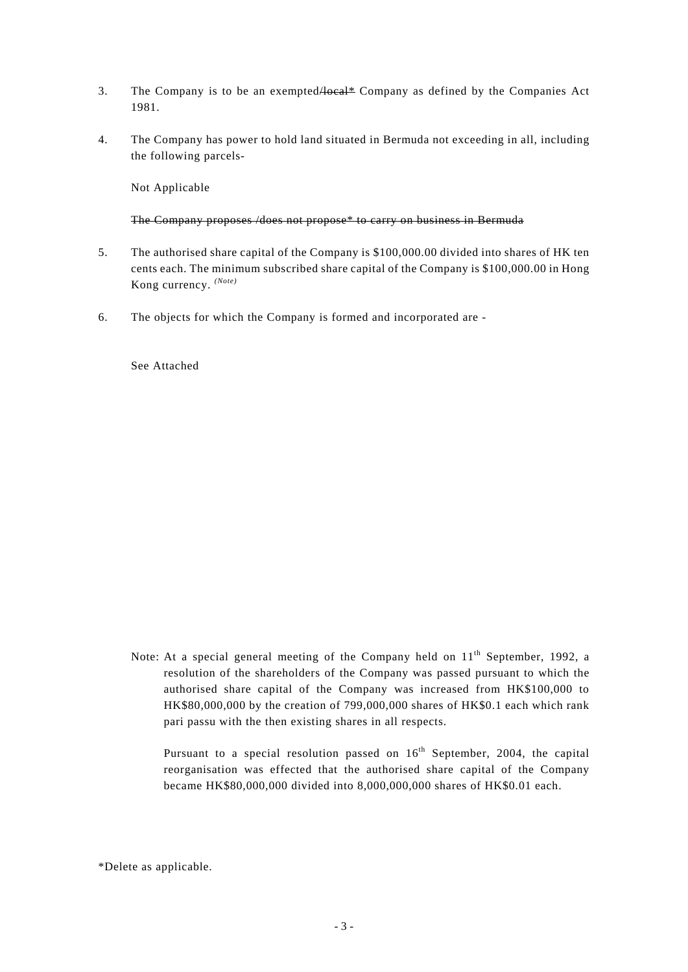- 3. The Company is to be an exempted/local\* Company as defined by the Companies Act 1981.
- 4. The Company has power to hold land situated in Bermuda not exceeding in all, including the following parcels-

Not Applicable

#### The Company proposes /does not propose\* to carry on business in Bermuda

- 5. The authorised share capital of the Company is \$100,000.00 divided into shares of HK ten cents each. The minimum subscribed share capital of the Company is \$100,000.00 in Hong Kong currency. *(Note)*
- 6. The objects for which the Company is formed and incorporated are -

See Attached

Note: At a special general meeting of the Company held on  $11<sup>th</sup>$  September, 1992, a resolution of the shareholders of the Company was passed pursuant to which the authorised share capital of the Company was increased from HK\$100,000 to HK\$80,000,000 by the creation of 799,000,000 shares of HK\$0.1 each which rank pari passu with the then existing shares in all respects.

Pursuant to a special resolution passed on  $16<sup>th</sup>$  September, 2004, the capital reorganisation was effected that the authorised share capital of the Company became HK\$80,000,000 divided into 8,000,000,000 shares of HK\$0.01 each.

\*Delete as applicable.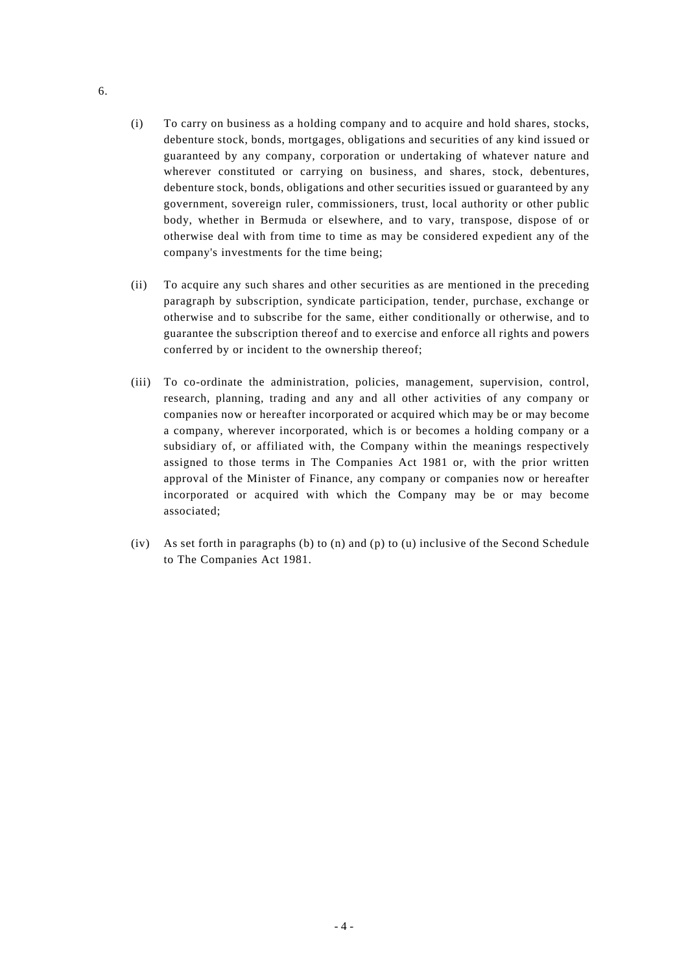- (i) To carry on business as a holding company and to acquire and hold shares, stocks, debenture stock, bonds, mortgages, obligations and securities of any kind issued or guaranteed by any company, corporation or undertaking of whatever nature and wherever constituted or carrying on business, and shares, stock, debentures, debenture stock, bonds, obligations and other securities issued or guaranteed by any government, sovereign ruler, commissioners, trust, local authority or other public body, whether in Bermuda or elsewhere, and to vary, transpose, dispose of or otherwise deal with from time to time as may be considered expedient any of the company's investments for the time being;
- (ii) To acquire any such shares and other securities as are mentioned in the preceding paragraph by subscription, syndicate participation, tender, purchase, exchange or otherwise and to subscribe for the same, either conditionally or otherwise, and to guarantee the subscription thereof and to exercise and enforce all rights and powers conferred by or incident to the ownership thereof;
- (iii) To co-ordinate the administration, policies, management, supervision, control, research, planning, trading and any and all other activities of any company or companies now or hereafter incorporated or acquired which may be or may become a company, wherever incorporated, which is or becomes a holding company or a subsidiary of, or affiliated with, the Company within the meanings respectively assigned to those terms in The Companies Act 1981 or, with the prior written approval of the Minister of Finance, any company or companies now or hereafter incorporated or acquired with which the Company may be or may become associated;
- (iv) As set forth in paragraphs (b) to (n) and (p) to (u) inclusive of the Second Schedule to The Companies Act 1981.

6.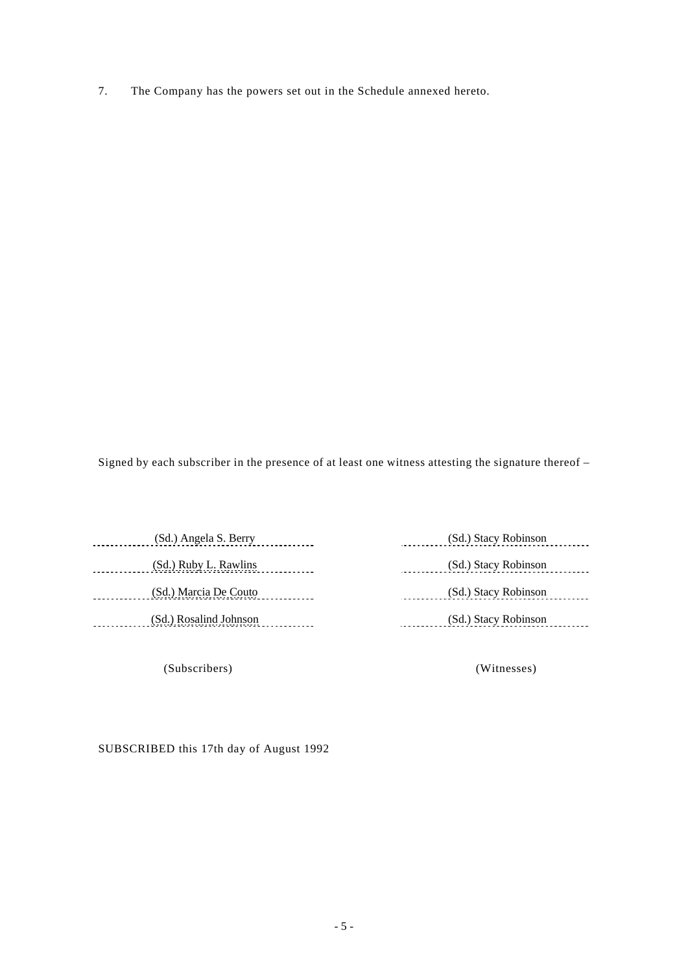7. The Company has the powers set out in the Schedule annexed hereto.

Signed by each subscriber in the presence of at least one witness attesting the signature thereof –

(Sd.) Ruby L. Rawlins (Sd.) Stacy Robinson (Sd.) Marcia De Couto (Sd.) Stacy Robinson (Sd.) Rosalind Johnson (Sd.) Stacy Robinson

(Subscribers) (Witnesses)

(Sd.) Angela S. Berry (Sd.) Stacy Robinson (Sd.) Stacy Robinson

SUBSCRIBED this 17th day of August 1992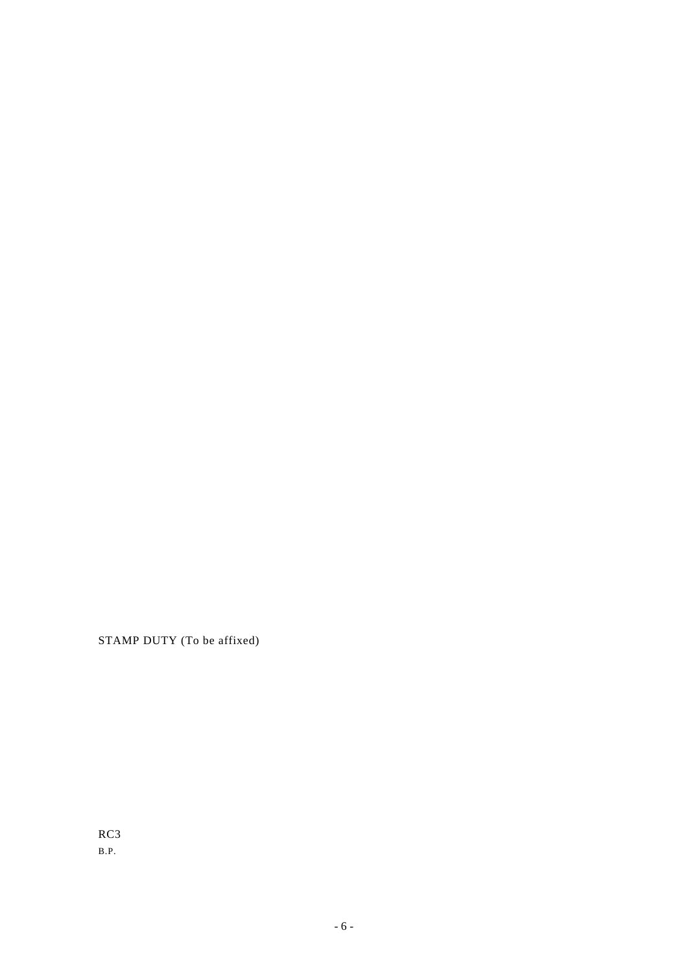STAMP DUTY (To be affixed)

RC3 B.P.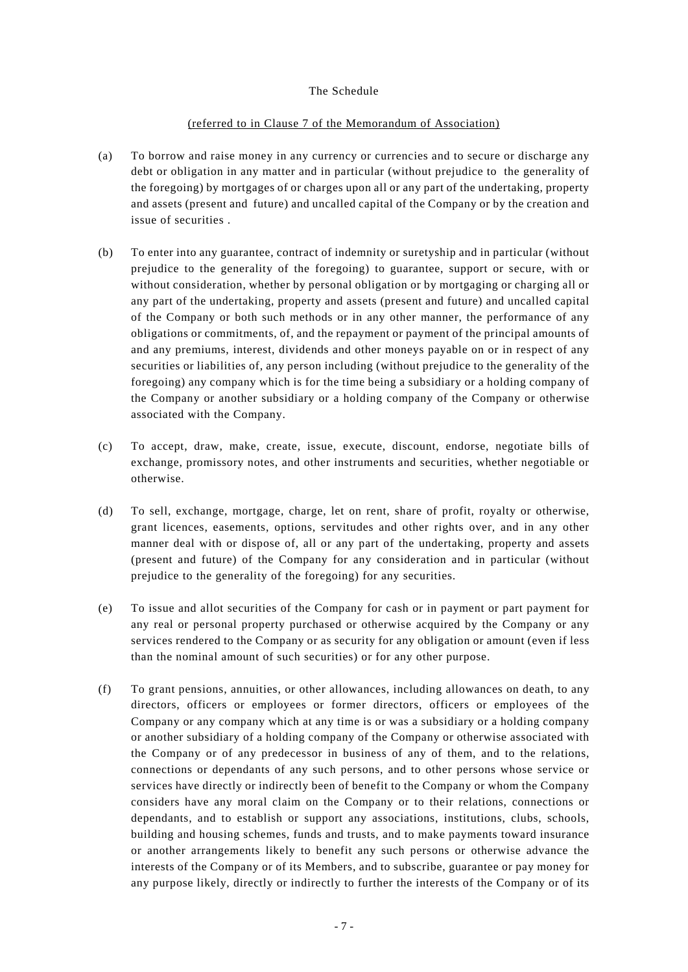#### The Schedule

#### (referred to in Clause 7 of the Memorandum of Association)

- (a) To borrow and raise money in any currency or currencies and to secure or discharge any debt or obligation in any matter and in particular (without prejudice to the generality of the foregoing) by mortgages of or charges upon all or any part of the undertaking, property and assets (present and future) and uncalled capital of the Company or by the creation and issue of securities .
- (b) To enter into any guarantee, contract of indemnity or suretyship and in particular (without prejudice to the generality of the foregoing) to guarantee, support or secure, with or without consideration, whether by personal obligation or by mortgaging or charging all or any part of the undertaking, property and assets (present and future) and uncalled capital of the Company or both such methods or in any other manner, the performance of any obligations or commitments, of, and the repayment or payment of the principal amounts of and any premiums, interest, dividends and other moneys payable on or in respect of any securities or liabilities of, any person including (without prejudice to the generality of the foregoing) any company which is for the time being a subsidiary or a holding company of the Company or another subsidiary or a holding company of the Company or otherwise associated with the Company.
- (c) To accept, draw, make, create, issue, execute, discount, endorse, negotiate bills of exchange, promissory notes, and other instruments and securities, whether negotiable or otherwise.
- (d) To sell, exchange, mortgage, charge, let on rent, share of profit, royalty or otherwise, grant licences, easements, options, servitudes and other rights over, and in any other manner deal with or dispose of, all or any part of the undertaking, property and assets (present and future) of the Company for any consideration and in particular (without prejudice to the generality of the foregoing) for any securities.
- (e) To issue and allot securities of the Company for cash or in payment or part payment for any real or personal property purchased or otherwise acquired by the Company or any services rendered to the Company or as security for any obligation or amount (even if less than the nominal amount of such securities) or for any other purpose.
- (f) To grant pensions, annuities, or other allowances, including allowances on death, to any directors, officers or employees or former directors, officers or employees of the Company or any company which at any time is or was a subsidiary or a holding company or another subsidiary of a holding company of the Company or otherwise associated with the Company or of any predecessor in business of any of them, and to the relations, connections or dependants of any such persons, and to other persons whose service or services have directly or indirectly been of benefit to the Company or whom the Company considers have any moral claim on the Company or to their relations, connections or dependants, and to establish or support any associations, institutions, clubs, schools, building and housing schemes, funds and trusts, and to make payments toward insurance or another arrangements likely to benefit any such persons or otherwise advance the interests of the Company or of its Members, and to subscribe, guarantee or pay money for any purpose likely, directly or indirectly to further the interests of the Company or of its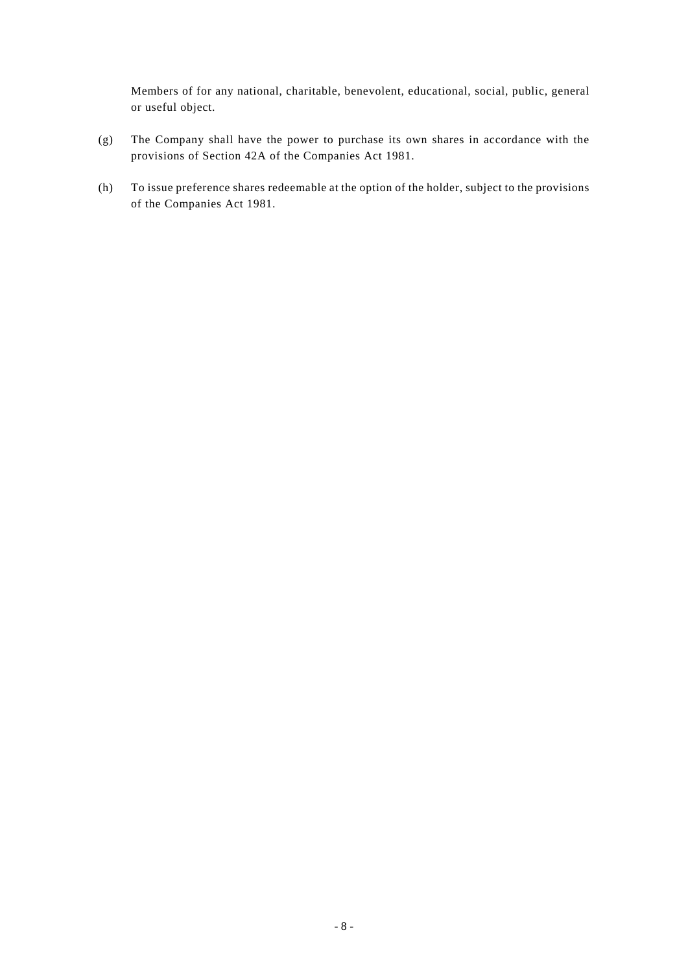Members of for any national, charitable, benevolent, educational, social, public, general or useful object.

- (g) The Company shall have the power to purchase its own shares in accordance with the provisions of Section 42A of the Companies Act 1981.
- (h) To issue preference shares redeemable at the option of the holder, subject to the provisions of the Companies Act 1981.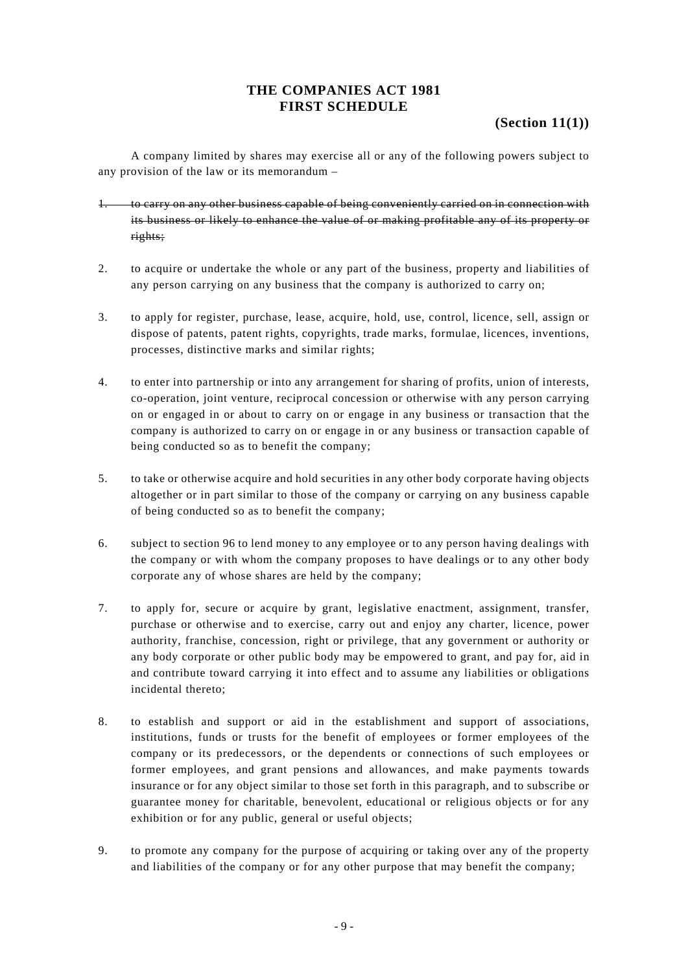### **THE COMPANIES ACT 1981 FIRST SCHEDULE**

## **(Section 11(1))**

 A company limited by shares may exercise all or any of the following powers subject to any provision of the law or its memorandum –

- 1. to carry on any other business capable of being conveniently carried on in connection with its business or likely to enhance the value of or making profitable any of its property or rights;
- 2. to acquire or undertake the whole or any part of the business, property and liabilities of any person carrying on any business that the company is authorized to carry on;
- 3. to apply for register, purchase, lease, acquire, hold, use, control, licence, sell, assign or dispose of patents, patent rights, copyrights, trade marks, formulae, licences, inventions, processes, distinctive marks and similar rights;
- 4. to enter into partnership or into any arrangement for sharing of profits, union of interests, co-operation, joint venture, reciprocal concession or otherwise with any person carrying on or engaged in or about to carry on or engage in any business or transaction that the company is authorized to carry on or engage in or any business or transaction capable of being conducted so as to benefit the company;
- 5. to take or otherwise acquire and hold securities in any other body corporate having objects altogether or in part similar to those of the company or carrying on any business capable of being conducted so as to benefit the company;
- 6. subject to section 96 to lend money to any employee or to any person having dealings with the company or with whom the company proposes to have dealings or to any other body corporate any of whose shares are held by the company;
- 7. to apply for, secure or acquire by grant, legislative enactment, assignment, transfer, purchase or otherwise and to exercise, carry out and enjoy any charter, licence, power authority, franchise, concession, right or privilege, that any government or authority or any body corporate or other public body may be empowered to grant, and pay for, aid in and contribute toward carrying it into effect and to assume any liabilities or obligations incidental thereto;
- 8. to establish and support or aid in the establishment and support of associations, institutions, funds or trusts for the benefit of employees or former employees of the company or its predecessors, or the dependents or connections of such employees or former employees, and grant pensions and allowances, and make payments towards insurance or for any object similar to those set forth in this paragraph, and to subscribe or guarantee money for charitable, benevolent, educational or religious objects or for any exhibition or for any public, general or useful objects;
- 9. to promote any company for the purpose of acquiring or taking over any of the property and liabilities of the company or for any other purpose that may benefit the company;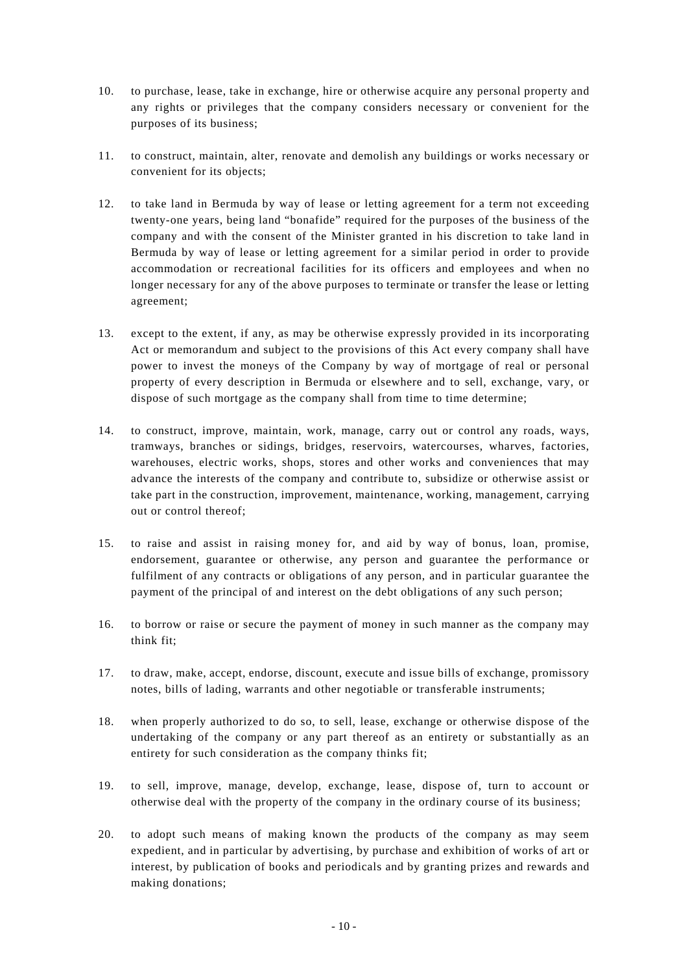- 10. to purchase, lease, take in exchange, hire or otherwise acquire any personal property and any rights or privileges that the company considers necessary or convenient for the purposes of its business;
- 11. to construct, maintain, alter, renovate and demolish any buildings or works necessary or convenient for its objects;
- 12. to take land in Bermuda by way of lease or letting agreement for a term not exceeding twenty-one years, being land "bonafide" required for the purposes of the business of the company and with the consent of the Minister granted in his discretion to take land in Bermuda by way of lease or letting agreement for a similar period in order to provide accommodation or recreational facilities for its officers and employees and when no longer necessary for any of the above purposes to terminate or transfer the lease or letting agreement;
- 13. except to the extent, if any, as may be otherwise expressly provided in its incorporating Act or memorandum and subject to the provisions of this Act every company shall have power to invest the moneys of the Company by way of mortgage of real or personal property of every description in Bermuda or elsewhere and to sell, exchange, vary, or dispose of such mortgage as the company shall from time to time determine;
- 14. to construct, improve, maintain, work, manage, carry out or control any roads, ways, tramways, branches or sidings, bridges, reservoirs, watercourses, wharves, factories, warehouses, electric works, shops, stores and other works and conveniences that may advance the interests of the company and contribute to, subsidize or otherwise assist or take part in the construction, improvement, maintenance, working, management, carrying out or control thereof;
- 15. to raise and assist in raising money for, and aid by way of bonus, loan, promise, endorsement, guarantee or otherwise, any person and guarantee the performance or fulfilment of any contracts or obligations of any person, and in particular guarantee the payment of the principal of and interest on the debt obligations of any such person;
- 16. to borrow or raise or secure the payment of money in such manner as the company may think fit;
- 17. to draw, make, accept, endorse, discount, execute and issue bills of exchange, promissory notes, bills of lading, warrants and other negotiable or transferable instruments;
- 18. when properly authorized to do so, to sell, lease, exchange or otherwise dispose of the undertaking of the company or any part thereof as an entirety or substantially as an entirety for such consideration as the company thinks fit;
- 19. to sell, improve, manage, develop, exchange, lease, dispose of, turn to account or otherwise deal with the property of the company in the ordinary course of its business;
- 20. to adopt such means of making known the products of the company as may seem expedient, and in particular by advertising, by purchase and exhibition of works of art or interest, by publication of books and periodicals and by granting prizes and rewards and making donations;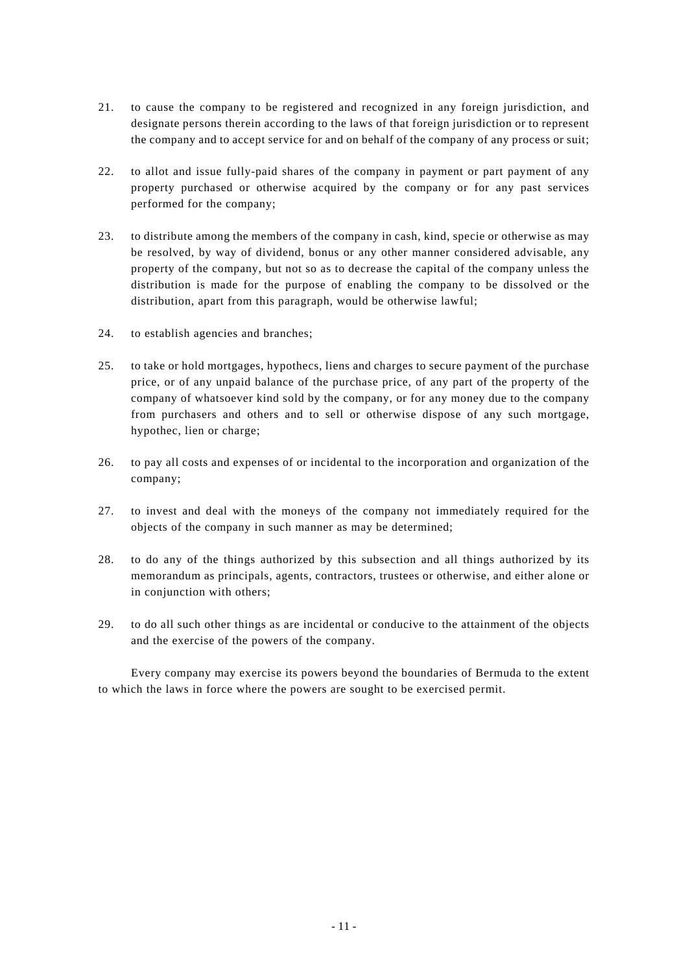- 21. to cause the company to be registered and recognized in any foreign jurisdiction, and designate persons therein according to the laws of that foreign jurisdiction or to represent the company and to accept service for and on behalf of the company of any process or suit;
- 22. to allot and issue fully-paid shares of the company in payment or part payment of any property purchased or otherwise acquired by the company or for any past services performed for the company;
- 23. to distribute among the members of the company in cash, kind, specie or otherwise as may be resolved, by way of dividend, bonus or any other manner considered advisable, any property of the company, but not so as to decrease the capital of the company unless the distribution is made for the purpose of enabling the company to be dissolved or the distribution, apart from this paragraph, would be otherwise lawful;
- 24. to establish agencies and branches;
- 25. to take or hold mortgages, hypothecs, liens and charges to secure payment of the purchase price, or of any unpaid balance of the purchase price, of any part of the property of the company of whatsoever kind sold by the company, or for any money due to the company from purchasers and others and to sell or otherwise dispose of any such mortgage, hypothec, lien or charge;
- 26. to pay all costs and expenses of or incidental to the incorporation and organization of the company;
- 27. to invest and deal with the moneys of the company not immediately required for the objects of the company in such manner as may be determined;
- 28. to do any of the things authorized by this subsection and all things authorized by its memorandum as principals, agents, contractors, trustees or otherwise, and either alone or in conjunction with others;
- 29. to do all such other things as are incidental or conducive to the attainment of the objects and the exercise of the powers of the company.

 Every company may exercise its powers beyond the boundaries of Bermuda to the extent to which the laws in force where the powers are sought to be exercised permit.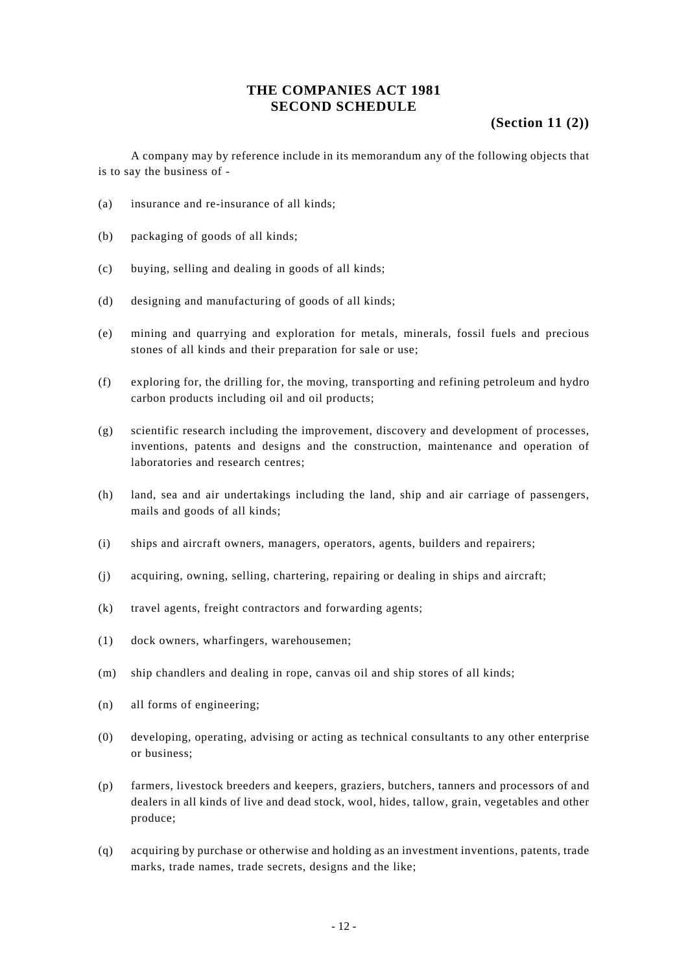### **THE COMPANIES ACT 1981 SECOND SCHEDULE**

## **(Section 11 (2))**

 A company may by reference include in its memorandum any of the following objects that is to say the business of -

- (a) insurance and re-insurance of all kinds;
- (b) packaging of goods of all kinds;
- (c) buying, selling and dealing in goods of all kinds;
- (d) designing and manufacturing of goods of all kinds;
- (e) mining and quarrying and exploration for metals, minerals, fossil fuels and precious stones of all kinds and their preparation for sale or use;
- (f) exploring for, the drilling for, the moving, transporting and refining petroleum and hydro carbon products including oil and oil products;
- (g) scientific research including the improvement, discovery and development of processes, inventions, patents and designs and the construction, maintenance and operation of laboratories and research centres;
- (h) land, sea and air undertakings including the land, ship and air carriage of passengers, mails and goods of all kinds;
- (i) ships and aircraft owners, managers, operators, agents, builders and repairers;
- (j) acquiring, owning, selling, chartering, repairing or dealing in ships and aircraft;
- (k) travel agents, freight contractors and forwarding agents;
- (1) dock owners, wharfingers, warehousemen;
- (m) ship chandlers and dealing in rope, canvas oil and ship stores of all kinds;
- (n) all forms of engineering;
- (0) developing, operating, advising or acting as technical consultants to any other enterprise or business;
- (p) farmers, livestock breeders and keepers, graziers, butchers, tanners and processors of and dealers in all kinds of live and dead stock, wool, hides, tallow, grain, vegetables and other produce;
- (q) acquiring by purchase or otherwise and holding as an investment inventions, patents, trade marks, trade names, trade secrets, designs and the like;